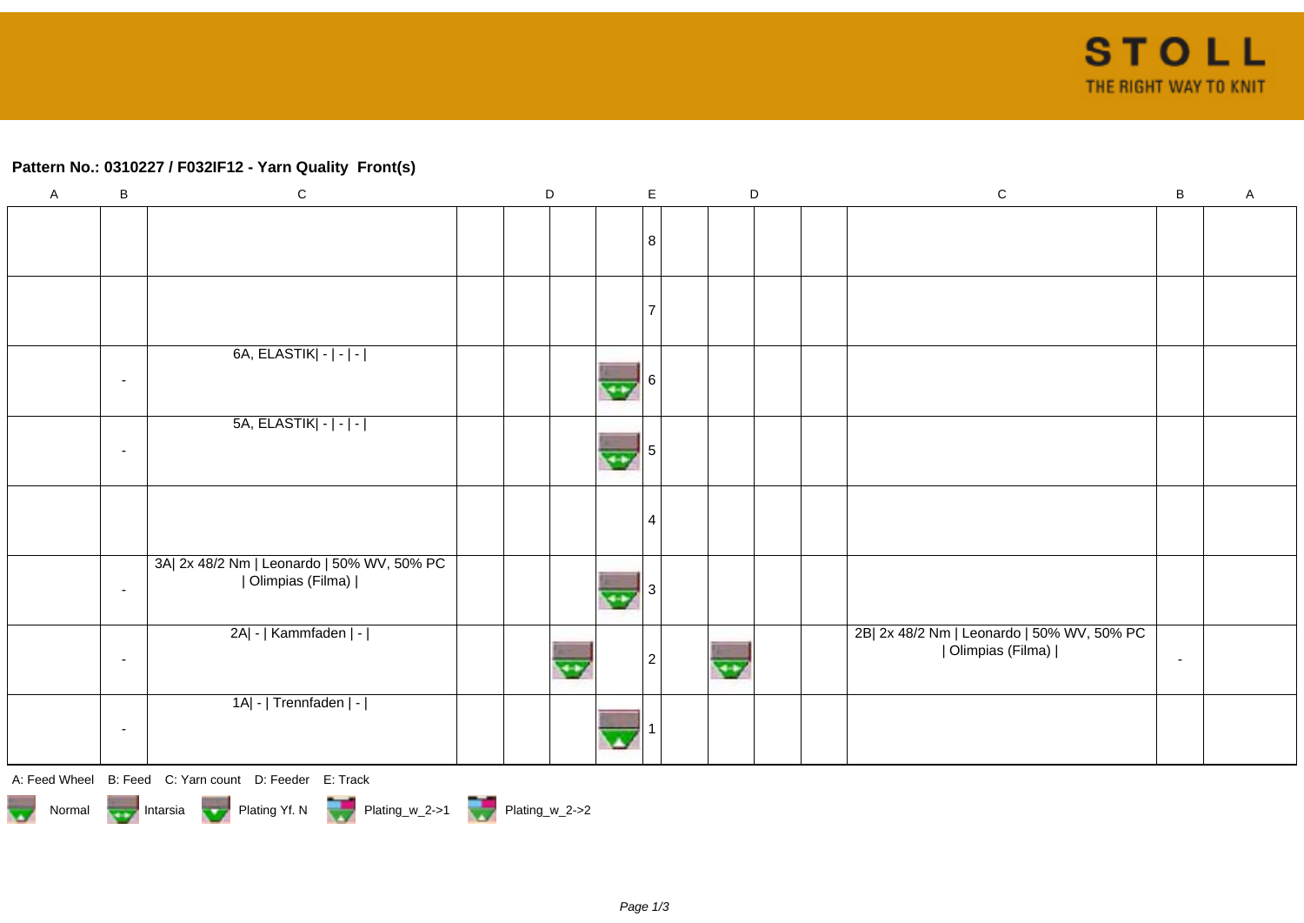## **Pattern No.: 0310227 / F032IF12 - Yarn Quality Front(s)**

| $\mathsf{A}$ | $\, {\bf B}$             | ${\bf C}$                                                        | $\mathsf D$ |  |    | $\mathsf{E}$ |    | $\mathsf D$ |  | ${\bf C}$                                                        | B              | $\mathsf A$ |
|--------------|--------------------------|------------------------------------------------------------------|-------------|--|----|--------------|----|-------------|--|------------------------------------------------------------------|----------------|-------------|
|              |                          |                                                                  |             |  |    | 8            |    |             |  |                                                                  |                |             |
|              |                          |                                                                  |             |  |    |              |    |             |  |                                                                  |                |             |
|              | $\overline{\phantom{a}}$ | 6A, ELASTIK   -   -   -                                          |             |  | 44 |              |    |             |  |                                                                  |                |             |
|              | $\overline{\phantom{a}}$ | $5A, ELASTIK - - - $                                             |             |  | 44 |              |    |             |  |                                                                  |                |             |
|              |                          |                                                                  |             |  |    |              |    |             |  |                                                                  |                |             |
|              | $\overline{\phantom{a}}$ | 3A  2x 48/2 Nm   Leonardo   50% WV, 50% PC<br>  Olimpias (Filma) |             |  |    |              |    |             |  |                                                                  |                |             |
|              | $\overline{\phantom{a}}$ | 2A  -   Kammfaden   -                                            |             |  |    | 2            | ٣Y |             |  | 2B  2x 48/2 Nm   Leonardo   50% WV, 50% PC<br>  Olimpias (Filma) | $\blacksquare$ |             |
|              | $\sim$                   | 1A  -   Trennfaden   -                                           |             |  |    |              |    |             |  |                                                                  |                |             |

A: Feed Wheel B: Feed C: Yarn count D: Feeder E: Track

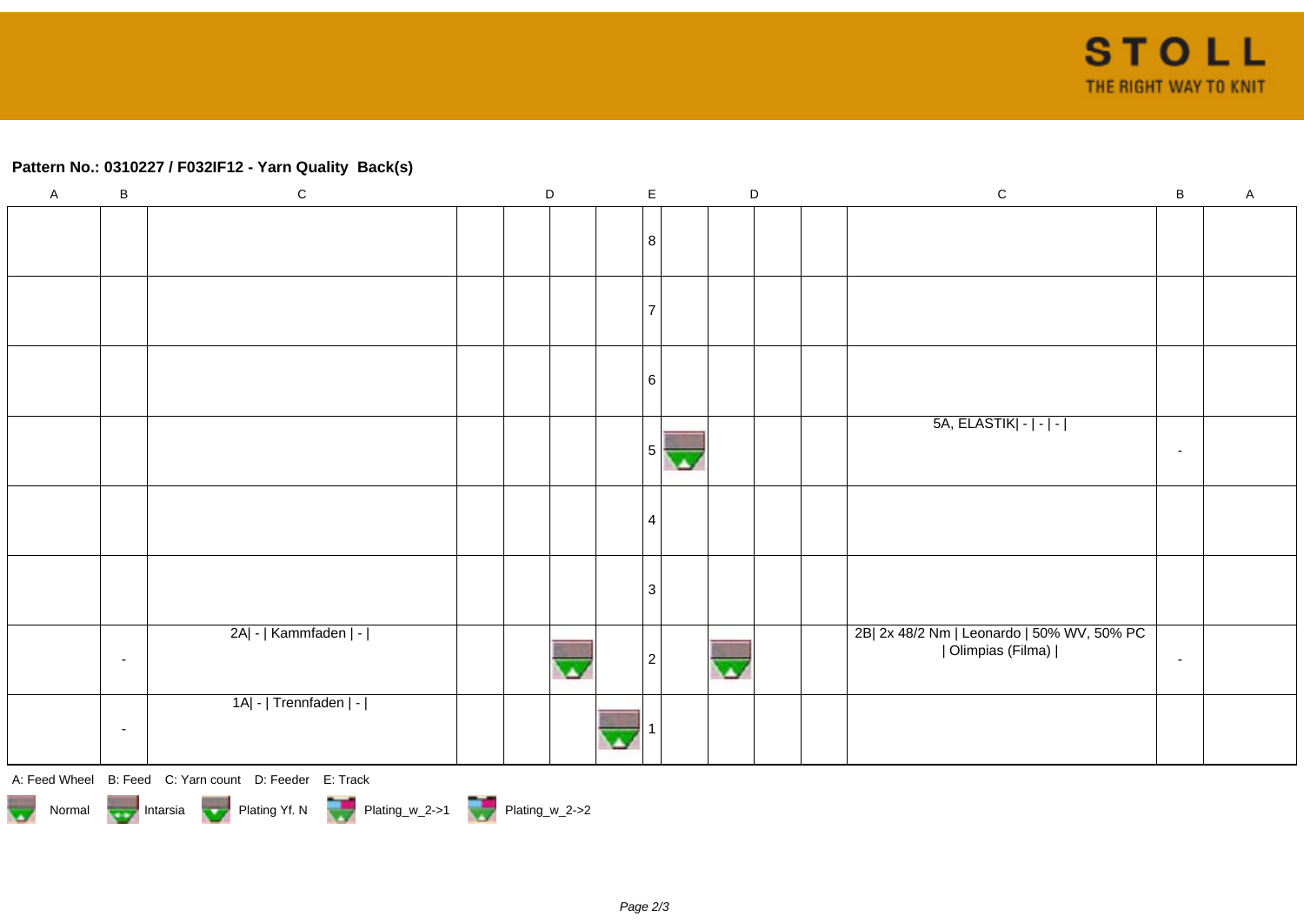## **Pattern No.: 0310227 / F032IF12 - Yarn Quality Back(s)**

| $\mathsf{A}$ | $\, {\bf B}$ | ${\bf C}$                                              | $\mathsf D$ |  |  | $\mathsf{E}$ |  | $\mathsf D$ |  | ${\bf C}$                                                        | $\, {\bf B} \,$ | $\mathsf A$ |
|--------------|--------------|--------------------------------------------------------|-------------|--|--|--------------|--|-------------|--|------------------------------------------------------------------|-----------------|-------------|
|              |              |                                                        |             |  |  | 8            |  |             |  |                                                                  |                 |             |
|              |              |                                                        |             |  |  |              |  |             |  |                                                                  |                 |             |
|              |              |                                                        |             |  |  |              |  |             |  |                                                                  |                 |             |
|              |              |                                                        |             |  |  |              |  |             |  |                                                                  |                 |             |
|              |              |                                                        |             |  |  | 6            |  |             |  |                                                                  |                 |             |
|              |              |                                                        |             |  |  |              |  |             |  |                                                                  |                 |             |
|              |              |                                                        |             |  |  | 5            |  |             |  | 5A, ELASTIK   -   -   -                                          | $\sim$          |             |
|              |              |                                                        |             |  |  |              |  |             |  |                                                                  |                 |             |
|              |              |                                                        |             |  |  | 4            |  |             |  |                                                                  |                 |             |
|              |              |                                                        |             |  |  |              |  |             |  |                                                                  |                 |             |
|              |              |                                                        |             |  |  | 3            |  |             |  |                                                                  |                 |             |
|              |              |                                                        |             |  |  |              |  |             |  |                                                                  |                 |             |
|              | $\sim$       | 2A  -   Kammfaden   -                                  |             |  |  |              |  |             |  | 2B  2x 48/2 Nm   Leonardo   50% WV, 50% PC<br>  Olimpias (Filma) | $\sim$          |             |
|              |              |                                                        |             |  |  |              |  |             |  |                                                                  |                 |             |
|              |              | 1A  -   Trennfaden   -                                 |             |  |  |              |  |             |  |                                                                  |                 |             |
|              | $\sim$       |                                                        |             |  |  |              |  |             |  |                                                                  |                 |             |
|              |              | A: Feed Wheel B: Feed C: Yarn count D: Feeder E: Track |             |  |  |              |  |             |  |                                                                  |                 |             |